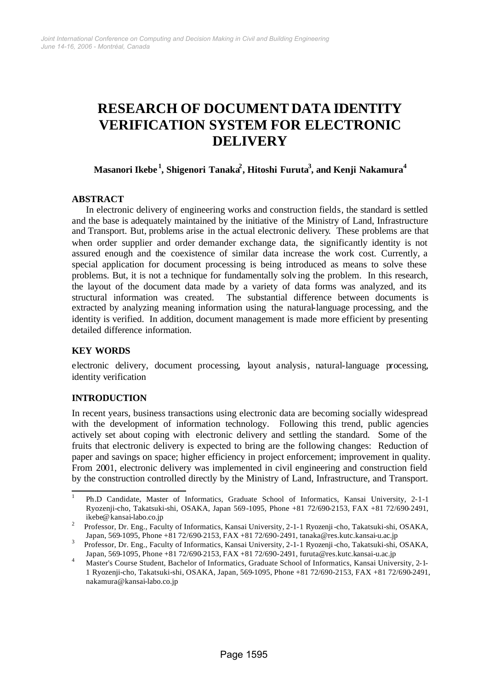# **RESEARCH OF DOCUMENT DATA IDENTITY VERIFICATION SYSTEM FOR ELECTRONIC DELIVERY**

# **Masanori Ikebe <sup>1</sup> , Shigenori Tanaka<sup>2</sup> , Hitoshi Furuta<sup>3</sup> , and Kenji Nakamura<sup>4</sup>**

## **ABSTRACT**

In electronic delivery of engineering works and construction fields, the standard is settled and the base is adequately maintained by the initiative of the Ministry of Land, Infrastructure and Transport. But, problems arise in the actual electronic delivery. These problems are that when order supplier and order demander exchange data, the significantly identity is not assured enough and the coexistence of similar data increase the work cost. Currently, a special application for document processing is being introduced as means to solve these problems. But, it is not a technique for fundamentally solving the problem. In this research, the layout of the document data made by a variety of data forms was analyzed, and its structural information was created. The substantial difference between documents is extracted by analyzing meaning information using the natural-language processing, and the identity is verified. In addition, document management is made more efficient by presenting detailed difference information.

## **KEY WORDS**

electronic delivery, document processing, layout analysis, natural-language processing, identity verification

## **INTRODUCTION**

l

In recent years, business transactions using electronic data are becoming socially widespread with the development of information technology. Following this trend, public agencies actively set about coping with electronic delivery and settling the standard. Some of the fruits that electronic delivery is expected to bring are the following changes: Reduction of paper and savings on space; higher efficiency in project enforcement; improvement in quality. From 2001, electronic delivery was implemented in civil engineering and construction field by the construction controlled directly by the Ministry of Land, Infrastructure, and Transport.

<sup>1</sup> Ph.D Candidate, Master of Informatics, Graduate School of Informatics, Kansai University, 2-1-1 Ryozenji-cho, Takatsuki-shi, OSAKA, Japan 569-1095, Phone +81 72/690-2153, FAX +81 72/690-2491, ikebe@kansai-labo.co.jp

<sup>2</sup> Professor, Dr. Eng., Faculty of Informatics, Kansai University, 2-1-1 Ryozenji-cho, Takatsuki-shi, OSAKA, Japan, 569-1095, Phone +81 72/690-2153, FAX +81 72/690-2491, tanaka@res.kutc.kansai-u.ac.jp

<sup>3</sup> Professor, Dr. Eng., Faculty of Informatics, Kansai University, 2-1-1 Ryozenji-cho, Takatsuki-shi, OSAKA, Japan, 569-1095, Phone +81 72/690-2153, FAX +81 72/690-2491, furuta@res.kutc.kansai-u.ac.jp

<sup>4</sup> Master's Course Student, Bachelor of Informatics, Graduate School of Informatics, Kansai University, 2-1- 1 Ryozenji-cho, Takatsuki-shi, OSAKA, Japan, 569-1095, Phone +81 72/690-2153, FAX +81 72/690-2491, nakamura@kansai-labo.co.jp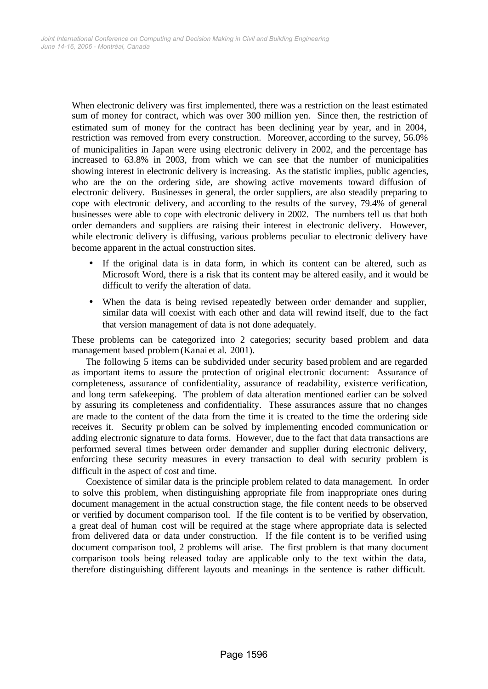When electronic delivery was first implemented, there was a restriction on the least estimated sum of money for contract, which was over 300 million yen. Since then, the restriction of estimated sum of money for the contract has been declining year by year, and in 2004, restriction was removed from every construction. Moreover, according to the survey, 56.0% of municipalities in Japan were using electronic delivery in 2002, and the percentage has increased to 63.8% in 2003, from which we can see that the number of municipalities showing interest in electronic delivery is increasing. As the statistic implies, public agencies, who are the on the ordering side, are showing active movements toward diffusion of electronic delivery. Businesses in general, the order suppliers, are also steadily preparing to cope with electronic delivery, and according to the results of the survey, 79.4% of general businesses were able to cope with electronic delivery in 2002. The numbers tell us that both order demanders and suppliers are raising their interest in electronic delivery. However, while electronic delivery is diffusing, various problems peculiar to electronic delivery have become apparent in the actual construction sites.

- If the original data is in data form, in which its content can be altered, such as Microsoft Word, there is a risk that its content may be altered easily, and it would be difficult to verify the alteration of data.
- When the data is being revised repeatedly between order demander and supplier, similar data will coexist with each other and data will rewind itself, due to the fact that version management of data is not done adequately.

These problems can be categorized into 2 categories; security based problem and data management based problem(Kanai et al. 2001).

The following 5 items can be subdivided under security based problem and are regarded as important items to assure the protection of original electronic document: Assurance of completeness, assurance of confidentiality, assurance of readability, existence verification, and long term safekeeping. The problem of data alteration mentioned earlier can be solved by assuring its completeness and confidentiality. These assurances assure that no changes are made to the content of the data from the time it is created to the time the ordering side receives it. Security pr oblem can be solved by implementing encoded communication or adding electronic signature to data forms. However, due to the fact that data transactions are performed several times between order demander and supplier during electronic delivery, enforcing these security measures in every transaction to deal with security problem is difficult in the aspect of cost and time.

Coexistence of similar data is the principle problem related to data management. In order to solve this problem, when distinguishing appropriate file from inappropriate ones during document management in the actual construction stage, the file content needs to be observed or verified by document comparison tool. If the file content is to be verified by observation, a great deal of human cost will be required at the stage where appropriate data is selected from delivered data or data under construction. If the file content is to be verified using document comparison tool, 2 problems will arise. The first problem is that many document comparison tools being released today are applicable only to the text within the data, therefore distinguishing different layouts and meanings in the sentence is rather difficult.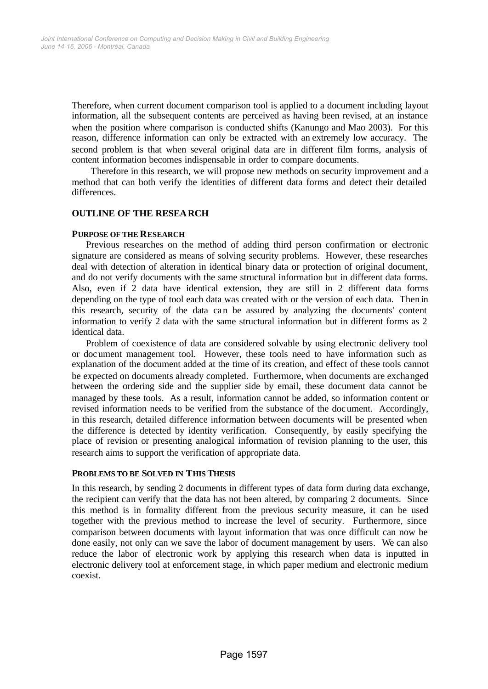Therefore, when current document comparison tool is applied to a document including layout information, all the subsequent contents are perceived as having been revised, at an instance when the position where comparison is conducted shifts (Kanungo and Mao 2003). For this reason, difference information can only be extracted with an extremely low accuracy. The second problem is that when several original data are in different film forms, analysis of content information becomes indispensable in order to compare documents.

 Therefore in this research, we will propose new methods on security improvement and a method that can both verify the identities of different data forms and detect their detailed differences.

## **OUTLINE OF THE RESEARCH**

## **PURPOSE OF THE RESEARCH**

Previous researches on the method of adding third person confirmation or electronic signature are considered as means of solving security problems. However, these researches deal with detection of alteration in identical binary data or protection of original document, and do not verify documents with the same structural information but in different data forms. Also, even if 2 data have identical extension, they are still in 2 different data forms depending on the type of tool each data was created with or the version of each data. Then in this research, security of the data can be assured by analyzing the documents' content information to verify 2 data with the same structural information but in different forms as 2 identical data.

Problem of coexistence of data are considered solvable by using electronic delivery tool or document management tool. However, these tools need to have information such as explanation of the document added at the time of its creation, and effect of these tools cannot be expected on documents already completed. Furthermore, when documents are exchanged between the ordering side and the supplier side by email, these document data cannot be managed by these tools. As a result, information cannot be added, so information content or revised information needs to be verified from the substance of the document. Accordingly, in this research, detailed difference information between documents will be presented when the difference is detected by identity verification. Consequently, by easily specifying the place of revision or presenting analogical information of revision planning to the user, this research aims to support the verification of appropriate data.

## **PROBLEMS TO BE SOLVED IN THIS THESIS**

In this research, by sending 2 documents in different types of data form during data exchange, the recipient can verify that the data has not been altered, by comparing 2 documents. Since this method is in formality different from the previous security measure, it can be used together with the previous method to increase the level of security. Furthermore, since comparison between documents with layout information that was once difficult can now be done easily, not only can we save the labor of document management by users. We can also reduce the labor of electronic work by applying this research when data is inputted in electronic delivery tool at enforcement stage, in which paper medium and electronic medium coexist.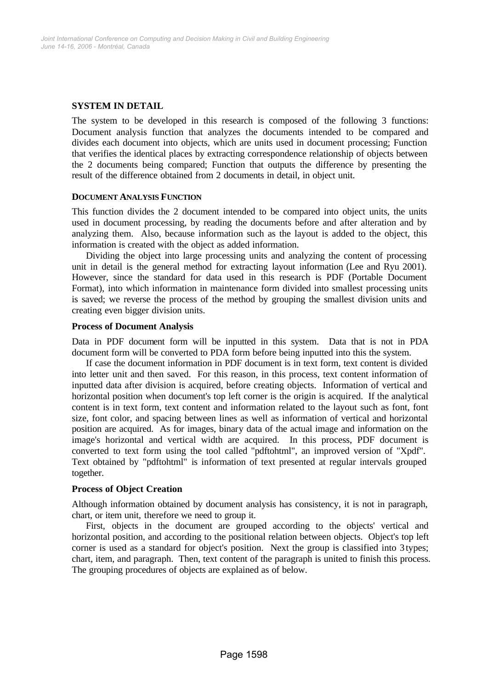## **SYSTEM IN DETAIL**

The system to be developed in this research is composed of the following 3 functions: Document analysis function that analyzes the documents intended to be compared and divides each document into objects, which are units used in document processing; Function that verifies the identical places by extracting correspondence relationship of objects between the 2 documents being compared; Function that outputs the difference by presenting the result of the difference obtained from 2 documents in detail, in object unit.

## **DOCUMENT ANALYSIS FUNCTION**

This function divides the 2 document intended to be compared into object units, the units used in document processing, by reading the documents before and after alteration and by analyzing them. Also, because information such as the layout is added to the object, this information is created with the object as added information.

Dividing the object into large processing units and analyzing the content of processing unit in detail is the general method for extracting layout information (Lee and Ryu 2001). However, since the standard for data used in this research is PDF (Portable Document Format), into which information in maintenance form divided into smallest processing units is saved; we reverse the process of the method by grouping the smallest division units and creating even bigger division units.

## **Process of Document Analysis**

Data in PDF document form will be inputted in this system. Data that is not in PDA document form will be converted to PDA form before being inputted into this the system.

If case the document information in PDF document is in text form, text content is divided into letter unit and then saved. For this reason, in this process, text content information of inputted data after division is acquired, before creating objects. Information of vertical and horizontal position when document's top left corner is the origin is acquired. If the analytical content is in text form, text content and information related to the layout such as font, font size, font color, and spacing between lines as well as information of vertical and horizontal position are acquired. As for images, binary data of the actual image and information on the image's horizontal and vertical width are acquired. In this process, PDF document is converted to text form using the tool called "pdftohtml", an improved version of "Xpdf". Text obtained by "pdftohtml" is information of text presented at regular intervals grouped together.

## **Process of Object Creation**

Although information obtained by document analysis has consistency, it is not in paragraph, chart, or item unit, therefore we need to group it.

First, objects in the document are grouped according to the objects' vertical and horizontal position, and according to the positional relation between objects. Object's top left corner is used as a standard for object's position. Next the group is classified into 3 types; chart, item, and paragraph. Then, text content of the paragraph is united to finish this process. The grouping procedures of objects are explained as of below.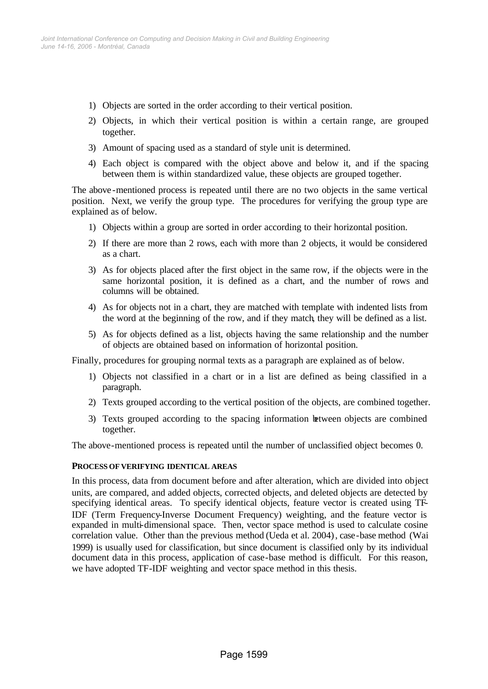- 1) Objects are sorted in the order according to their vertical position.
- 2) Objects, in which their vertical position is within a certain range, are grouped together.
- 3) Amount of spacing used as a standard of style unit is determined.
- 4) Each object is compared with the object above and below it, and if the spacing between them is within standardized value, these objects are grouped together.

The above -mentioned process is repeated until there are no two objects in the same vertical position. Next, we verify the group type. The procedures for verifying the group type are explained as of below.

- 1) Objects within a group are sorted in order according to their horizontal position.
- 2) If there are more than 2 rows, each with more than 2 objects, it would be considered as a chart.
- 3) As for objects placed after the first object in the same row, if the objects were in the same horizontal position, it is defined as a chart, and the number of rows and columns will be obtained.
- 4) As for objects not in a chart, they are matched with template with indented lists from the word at the beginning of the row, and if they match, they will be defined as a list.
- 5) As for objects defined as a list, objects having the same relationship and the number of objects are obtained based on information of horizontal position.

Finally, procedures for grouping normal texts as a paragraph are explained as of below.

- 1) Objects not classified in a chart or in a list are defined as being classified in a paragraph.
- 2) Texts grouped according to the vertical position of the objects, are combined together.
- 3) Texts grouped according to the spacing information between objects are combined together.

The above-mentioned process is repeated until the number of unclassified object becomes 0.

## **PROCESS OF VERIFYING IDENTICAL AREAS**

In this process, data from document before and after alteration, which are divided into object units, are compared, and added objects, corrected objects, and deleted objects are detected by specifying identical areas. To specify identical objects, feature vector is created using TF-IDF (Term Frequency-Inverse Document Frequency) weighting, and the feature vector is expanded in multi-dimensional space. Then, vector space method is used to calculate cosine correlation value. Other than the previous method (Ueda et al. 2004), case-base method (Wai 1999) is usually used for classification, but since document is classified only by its individual document data in this process, application of case-base method is difficult. For this reason, we have adopted TF-IDF weighting and vector space method in this thesis.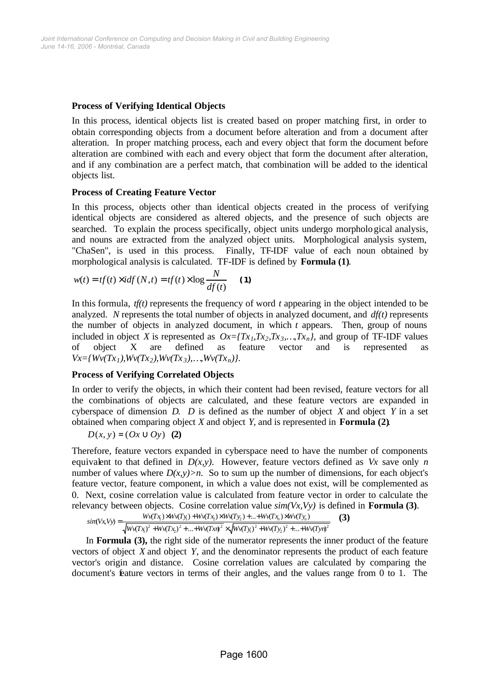## **Process of Verifying Identical Objects**

In this process, identical objects list is created based on proper matching first, in order to obtain corresponding objects from a document before alteration and from a document after alteration. In proper matching process, each and every object that form the document before alteration are combined with each and every object that form the document after alteration, and if any combination are a perfect match, that combination will be added to the identical objects list.

## **Process of Creating Feature Vector**

In this process, objects other than identical objects created in the process of verifying identical objects are considered as altered objects, and the presence of such objects are searched. To explain the process specifically, object units undergo morphological analysis, and nouns are extracted from the analyzed object units. Morphological analysis system, "ChaSen", is used in this process. Finally, TF-IDF value of each noun obtained by morphological analysis is calculated. TF-IDF is defined by **Formula (1)**.

$$
w(t) = tf(t) \times idf(N, t) = tf(t) \times \log \frac{N}{df(t)}
$$
 (1)

In this formula, *tf(t)* represents the frequency of word *t* appearing in the object intended to be analyzed. *N* represents the total number of objects in analyzed document, and *df(t)* represents the number of objects in analyzed document, in which *t* appears. Then, group of nouns included in object *X* is represented as  $Ox = \frac{Tx_1, Tx_2, Tx_3, ..., Tx_n}{x_n}$ , and group of TF-IDF values of object X are defined as feature vector and is represented as  $Vx = \frac{Wv(Tx_1), Wv(Tx_2), Wv(Tx_3), ..., Wv(Tx_n)}{$ .

## **Process of Verifying Correlated Objects**

In order to verify the objects, in which their content had been revised, feature vectors for all the combinations of objects are calculated, and these feature vectors are expanded in cyberspace of dimension *D*. *D* is defined as the number of object *X* and object *Y* in a set obtained when comparing object *X* and object *Y*, and is represented in **Formula (2)**.

$$
D(x, y) = (Ox \cup Oy) \quad (2)
$$

Therefore, feature vectors expanded in cyberspace need to have the number of components equivalent to that defined in  $D(x, y)$ . However, feature vectors defined as *Vx* save only *n* number of values where  $D(x, y) > n$ . So to sum up the number of dimensions, for each object's feature vector, feature component, in which a value does not exist, will be complemented as 0. Next, cosine correlation value is calculated from feature vector in order to calculate the relevancy between objects. Cosine correlation value *sim(Vx,Vy)* is defined in **Formula (3)**.

$$
sim(Vx, Vy) = \frac{Wv(Tx_1) \times Wv(Ty_1) + Wv(Tx_2) \times Wv(Ty_2) + ... + Wv(Tx_n) \times Wv(Ty_n)}{\sqrt{Wv(Tx_1)^2 + Wv(Tx_2)^2 + ... + Wv(Tx_n)^2} \times \sqrt{Wv(Ty_1)^2 + Wv(Ty_2)^2 + ... + Wv(Ty_n)^2}}
$$
(3)

In **Formula (3),** the right side of the numerator represents the inner product of the feature vectors of object *X* and object *Y*, and the denominator represents the product of each feature vector's origin and distance. Cosine correlation values are calculated by comparing the document's feature vectors in terms of their angles, and the values range from 0 to 1. The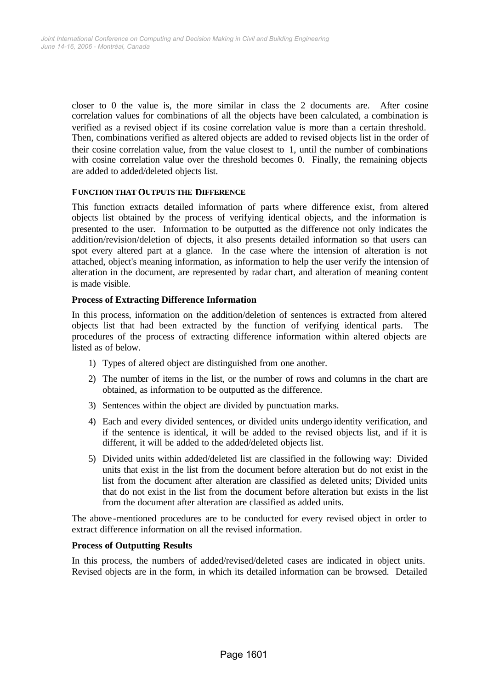closer to 0 the value is, the more similar in class the 2 documents are. After cosine correlation values for combinations of all the objects have been calculated, a combination is verified as a revised object if its cosine correlation value is more than a certain threshold. Then, combinations verified as altered objects are added to revised objects list in the order of their cosine correlation value, from the value closest to 1, until the number of combinations with cosine correlation value over the threshold becomes 0. Finally, the remaining objects are added to added/deleted objects list.

## **FUNCTION THAT OUTPUTS THE DIFFERENCE**

This function extracts detailed information of parts where difference exist, from altered objects list obtained by the process of verifying identical objects, and the information is presented to the user. Information to be outputted as the difference not only indicates the addition/revision/deletion of diects, it also presents detailed information so that users can spot every altered part at a glance. In the case where the intension of alteration is not attached, object's meaning information, as information to help the user verify the intension of alteration in the document, are represented by radar chart, and alteration of meaning content is made visible.

## **Process of Extracting Difference Information**

In this process, information on the addition/deletion of sentences is extracted from altered objects list that had been extracted by the function of verifying identical parts. The procedures of the process of extracting difference information within altered objects are listed as of below.

- 1) Types of altered object are distinguished from one another.
- 2) The number of items in the list, or the number of rows and columns in the chart are obtained, as information to be outputted as the difference.
- 3) Sentences within the object are divided by punctuation marks.
- 4) Each and every divided sentences, or divided units undergo identity verification, and if the sentence is identical, it will be added to the revised objects list, and if it is different, it will be added to the added/deleted objects list.
- 5) Divided units within added/deleted list are classified in the following way: Divided units that exist in the list from the document before alteration but do not exist in the list from the document after alteration are classified as deleted units; Divided units that do not exist in the list from the document before alteration but exists in the list from the document after alteration are classified as added units.

The above -mentioned procedures are to be conducted for every revised object in order to extract difference information on all the revised information.

## **Process of Outputting Results**

In this process, the numbers of added/revised/deleted cases are indicated in object units. Revised objects are in the form, in which its detailed information can be browsed. Detailed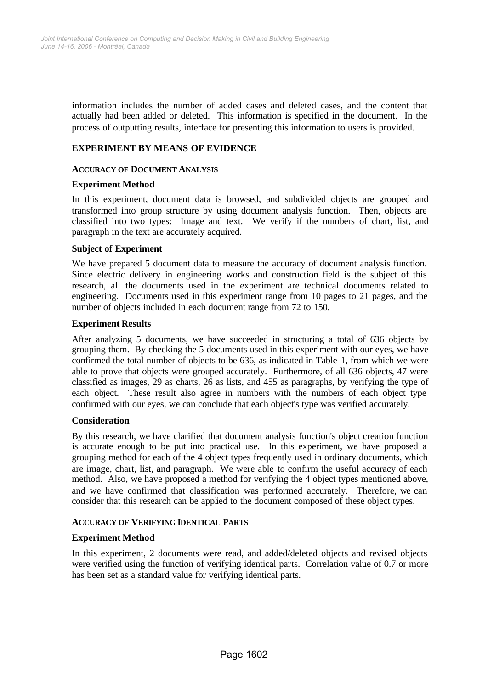information includes the number of added cases and deleted cases, and the content that actually had been added or deleted. This information is specified in the document. In the process of outputting results, interface for presenting this information to users is provided.

## **EXPERIMENT BY MEANS OF EVIDENCE**

## **ACCURACY OF DOCUMENT ANALYSIS**

## **Experiment Method**

In this experiment, document data is browsed, and subdivided objects are grouped and transformed into group structure by using document analysis function. Then, objects are classified into two types: Image and text. We verify if the numbers of chart, list, and paragraph in the text are accurately acquired.

## **Subject of Experiment**

We have prepared 5 document data to measure the accuracy of document analysis function. Since electric delivery in engineering works and construction field is the subject of this research, all the documents used in the experiment are technical documents related to engineering. Documents used in this experiment range from 10 pages to 21 pages, and the number of objects included in each document range from 72 to 150.

#### **Experiment Results**

After analyzing 5 documents, we have succeeded in structuring a total of 636 objects by grouping them. By checking the 5 documents used in this experiment with our eyes, we have confirmed the total number of objects to be 636, as indicated in Table-1, from which we were able to prove that objects were grouped accurately. Furthermore, of all 636 objects, 47 were classified as images, 29 as charts, 26 as lists, and 455 as paragraphs, by verifying the type of each object. These result also agree in numbers with the numbers of each object type confirmed with our eyes, we can conclude that each object's type was verified accurately.

## **Consideration**

By this research, we have clarified that document analysis function's object creation function is accurate enough to be put into practical use. In this experiment, we have proposed a grouping method for each of the 4 object types frequently used in ordinary documents, which are image, chart, list, and paragraph. We were able to confirm the useful accuracy of each method. Also, we have proposed a method for verifying the 4 object types mentioned above, and we have confirmed that classification was performed accurately. Therefore, we can consider that this research can be applied to the document composed of these object types.

## **ACCURACY OF VERIFYING IDENTICAL PARTS**

## **Experiment Method**

In this experiment, 2 documents were read, and added/deleted objects and revised objects were verified using the function of verifying identical parts. Correlation value of 0.7 or more has been set as a standard value for verifying identical parts.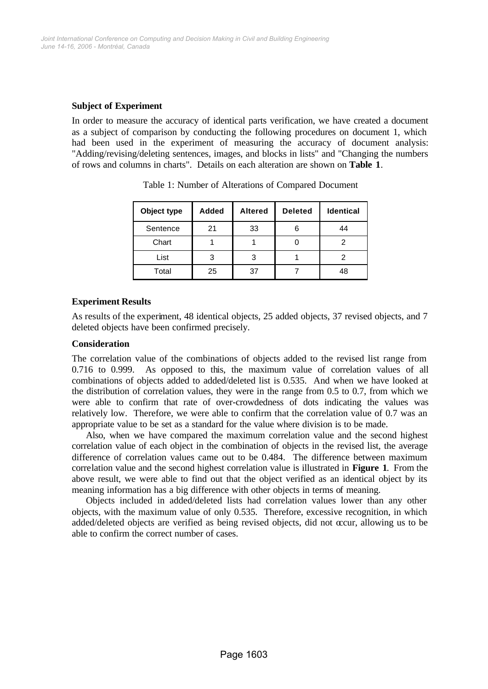## **Subject of Experiment**

In order to measure the accuracy of identical parts verification, we have created a document as a subject of comparison by conducting the following procedures on document 1, which had been used in the experiment of measuring the accuracy of document analysis: "Adding/revising/deleting sentences, images, and blocks in lists" and "Changing the numbers of rows and columns in charts". Details on each alteration are shown on **Table 1**.

| Object type | Added | <b>Altered</b> | <b>Deleted</b> | <b>Identical</b> |
|-------------|-------|----------------|----------------|------------------|
| Sentence    | 21    | 33             | 6              | 44               |
| Chart       |       |                |                |                  |
| List        |       |                |                |                  |
| Total       | 25    | 37             |                |                  |

Table 1: Number of Alterations of Compared Document

## **Experiment Results**

As results of the experiment, 48 identical objects, 25 added objects, 37 revised objects, and 7 deleted objects have been confirmed precisely.

## **Consideration**

The correlation value of the combinations of objects added to the revised list range from 0.716 to 0.999. As opposed to this, the maximum value of correlation values of all combinations of objects added to added/deleted list is 0.535. And when we have looked at the distribution of correlation values, they were in the range from 0.5 to 0.7, from which we were able to confirm that rate of over-crowdedness of dots indicating the values was relatively low. Therefore, we were able to confirm that the correlation value of 0.7 was an appropriate value to be set as a standard for the value where division is to be made.

Also, when we have compared the maximum correlation value and the second highest correlation value of each object in the combination of objects in the revised list, the average difference of correlation values came out to be 0.484. The difference between maximum correlation value and the second highest correlation value is illustrated in **Figure 1**. From the above result, we were able to find out that the object verified as an identical object by its meaning information has a big difference with other objects in terms of meaning.

Objects included in added/deleted lists had correlation values lower than any other objects, with the maximum value of only 0.535. Therefore, excessive recognition, in which added/deleted objects are verified as being revised objects, did not occur, allowing us to be able to confirm the correct number of cases.